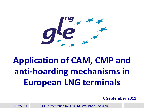$g_{\ast}^{\prime\prime}e_{\ast}^{\prime\prime}$ 

## **Application of CAM, CMP and anti-hoarding mechanisms in European LNG terminals**

**6 September 2011**

6/09/2011 GLE presentation to CEER LNG Workshop – Session II 11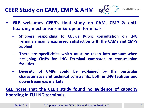**CEER Study on CAM, CMP & AHM**  $g^{\prime}e^{\int_{-\infty}^{\infty}x}$  Gas LNG Europe

- 
- **GLE welcomes CEER's final study on CAM, CMP & antihoarding mechanisms in European terminals**
	- **Shippers responding to CEER's Public consultation on LNG Terminals mainly expressed satisfaction with the CAMs and CMPs applied**
	- **There are specificities which must be taken into account when designing CMPs for LNG Terminal compared to transmission facilities**
	- **Diversity of CMPs could be explained by the particular characteristics and technical constraints, both in LNG facilities and downstream gas markets**

#### **GLE notes that the CEER study found no evidence of capacity hoarding in EU LNG terminals.**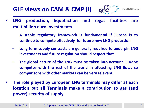#### **GLE views on CAM & CMP (I)**

**Gas LNG Europe** 

- **LNG production, liquefaction and regas facilities are multibillion euro investments**
	- **A stable regulatory framework is fundamental if Europe is to continue to compete effectively for future new LNG production**
	- **Long term supply contracts are generally required to underpin LNG investments and future regulation should respect that**
	- **The global nature of the LNG must be taken into account. Europe competes with the rest of the world in attracting LNG flows so comparisons with other markets can be very relevant.**
- **The role played by European LNG terminals may differ at each location but all Terminals make a contribution to gas (and power) security of supply**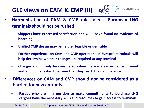### **GLE views on CAM & CMP (II)**

- **Harmonisation of CAM & CMP rules across European LNG terminals should not be rushed**
	- **Shippers have expressed satisfaction and CEER have found no evidence of hoarding**
	- **Unified CMP design may be neither feasible or desirable**
	- **Further experience on CAM and CMP operations in Europe's terminals will help determine whether changes are required at any terminal**
	- **Changes should only be considered when there is clear evidence of need and should be tested to ensure that they reach the right balance.**
- **Differences on CAM and CMP should not be considered as a barrier for new entrants.**
	- **Parties who are in a position to make commitments to purchase LNG cargoes have the necessary skills and resources to gain access to terminals**

**Gas LNG Europe**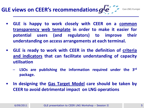## **GLE views on CEER's recommendations**  $g^{f}e^{+}$

- **GLE is happy to work closely with CEER on a common transparency web template in order to make it easier for potential users (and regulators) to improve their understanding on access arrangements at each terminal.**
- **GLE is ready to work with CEER in the definition of criteria and indicators that can facilitate understanding of capacity utilisation**
	- **LSOs are publishing the information required under the 3 rd package.**
- **In designing the Gas Target Model care should be taken by CEER to avoid detrimental impact on LNG operations**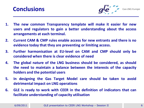



**Gas LNG Europe** 

- **1. The new common Transparency template will make it easier for new users and regulators to gain a better understanding about the access arrangements at each terminal.**
- **2. Current CAM & CMP rules enable access for new entrants and there is no evidence today that they are preventing or limiting access.**
- **3. Further harmonisation at EU-level on CAM and CMP should only be considered when there is clear evidence of need**
- **4. The global nature of the LNG business should be considered, as should the need to maintain a balance between the interests of the capacity holders and the potential users**
- **5. In designing the Gas Target Model care should be taken to avoid detrimental impact on LNG operations**
- **6. GLE is ready to work with CEER in the definition of indicators that can facilitate understanding of capacity utilisation**